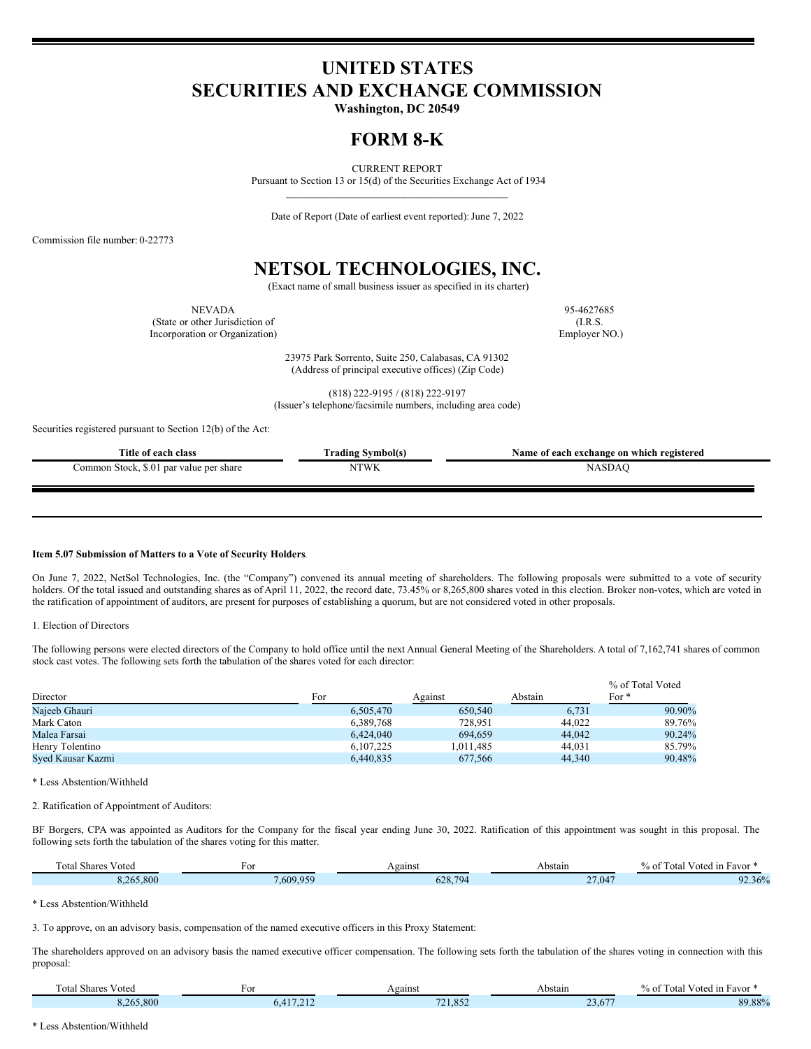# **UNITED STATES SECURITIES AND EXCHANGE COMMISSION**

**Washington, DC 20549**

### **FORM 8-K**

CURRENT REPORT Pursuant to Section 13 or 15(d) of the Securities Exchange Act of 1934 \_\_\_\_\_\_\_\_\_\_\_\_\_\_\_\_\_\_\_\_\_\_\_\_\_\_\_\_\_\_\_\_\_\_\_\_\_\_\_\_\_\_\_

Date of Report (Date of earliest event reported): June 7, 2022

Commission file number: 0-22773

## **NETSOL TECHNOLOGIES, INC.**

(Exact name of small business issuer as specified in its charter)

NEVADA 95-4627685 (State or other Jurisdiction of (I.R.S. Incorporation or Organization) Employer NO.)

23975 Park Sorrento, Suite 250, Calabasas, CA 91302 (Address of principal executive offices) (Zip Code)

(818) 222-9195 / (818) 222-9197 (Issuer's telephone/facsimile numbers, including area code)

Securities registered pursuant to Section 12(b) of the Act:

| Title of each class                     | <b>Frading Symbol(s)</b> | Name of each exchange on which registered |
|-----------------------------------------|--------------------------|-------------------------------------------|
| Common Stock, \$.01 par value per share | NTWK                     | NASDAC                                    |
|                                         |                          |                                           |

#### **Item 5.07 Submission of Matters to a Vote of Security Holders**.

On June 7, 2022, NetSol Technologies, Inc. (the "Company") convened its annual meeting of shareholders. The following proposals were submitted to a vote of security holders. Of the total issued and outstanding shares as of April 11, 2022, the record date, 73.45% or 8,265,800 shares voted in this election. Broker non-votes, which are voted in the ratification of appointment of auditors, are present for purposes of establishing a quorum, but are not considered voted in other proposals.

1. Election of Directors

The following persons were elected directors of the Company to hold office until the next Annual General Meeting of the Shareholders. A total of 7,162,741 shares of common stock cast votes. The following sets forth the tabulation of the shares voted for each director:

|                   |           |           |         | % of Total Voted |  |
|-------------------|-----------|-----------|---------|------------------|--|
| Director          | For       | Against   | Abstain | For $*$          |  |
| Najeeb Ghauri     | 6.505,470 | 650,540   | 6,731   | 90.90%           |  |
| Mark Caton        | 6.389.768 | 728.951   | 44,022  | 89.76%           |  |
| Malea Farsai      | 6.424,040 | 694.659   | 44,042  | 90.24%           |  |
| Henry Tolentino   | 6.107.225 | 1.011.485 | 44,031  | 85.79%           |  |
| Syed Kausar Kazmi | 6.440.835 | 677,566   | 44,340  | 90.48%           |  |

\* Less Abstention/Withheld

2. Ratification of Appointment of Auditors:

BF Borgers, CPA was appointed as Auditors for the Company for the fiscal year ending June 30, 2022. Ratification of this appointment was sought in this proposal. The following sets forth the tabulation of the shares voting for this matter.

| $\sim$<br>$\sim$<br>'otal<br>V oted<br>. Shares | $\sim$   | Against              | Abstain | $\sim$ $-$<br>$\sim$<br>1 1n<br>. Favor<br>$\sim$ + $\sim$<br>.ota<br>% O1 |
|-------------------------------------------------|----------|----------------------|---------|----------------------------------------------------------------------------|
| 8.265.800                                       | .609.959 | 78794<br>$h/\lambda$ | 27,047  | $2.36\%$<br>റാ                                                             |

\* Less Abstention/Withheld

3. To approve, on an advisory basis, compensation of the named executive officers in this Proxy Statement:

The shareholders approved on an advisory basis the named executive officer compensation. The following sets forth the tabulation of the shares voting in connection with this proposal:

| Votea<br>otal<br>share | FΟ                  | Against          | Abstain | $  -$<br>Voted<br>' 1n<br>Favor<br>l otal<br>% 01 |
|------------------------|---------------------|------------------|---------|---------------------------------------------------|
| 8,265,800              | 010<br>0.4<br>$-11$ | $\sim$<br>21.852 | 23.6/   | 89.88%                                            |

\* Less Abstention/Withheld